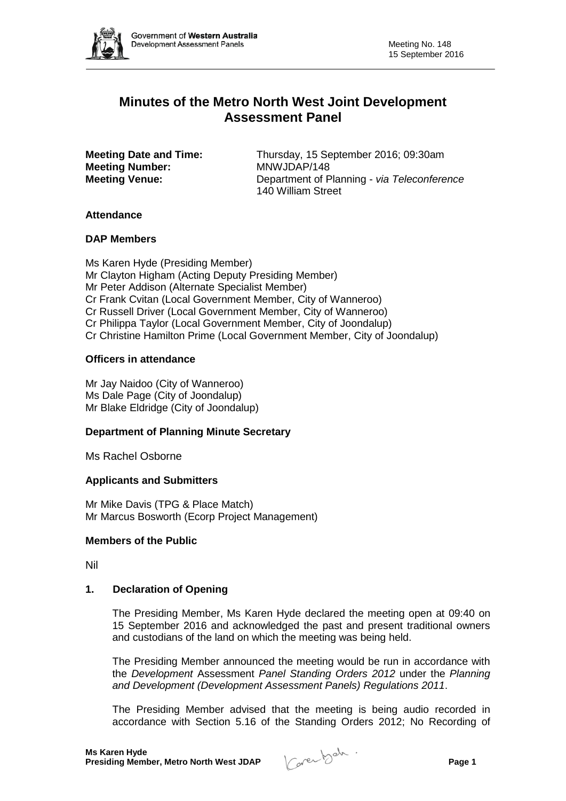

# **Minutes of the Metro North West Joint Development Assessment Panel**

**Meeting Number:<br>Meeting Venue:** 

**Meeting Date and Time:** Thursday, 15 September 2016; 09:30am<br> **MANVJDAP/148** Department of Planning - *via Teleconference* 140 William Street

## **Attendance**

## **DAP Members**

Ms Karen Hyde (Presiding Member) Mr Clayton Higham (Acting Deputy Presiding Member) Mr Peter Addison (Alternate Specialist Member) Cr Frank Cvitan (Local Government Member, City of Wanneroo) Cr Russell Driver (Local Government Member, City of Wanneroo) Cr Philippa Taylor (Local Government Member, City of Joondalup) Cr Christine Hamilton Prime (Local Government Member, City of Joondalup)

## **Officers in attendance**

Mr Jay Naidoo (City of Wanneroo) Ms Dale Page (City of Joondalup) Mr Blake Eldridge (City of Joondalup)

# **Department of Planning Minute Secretary**

Ms Rachel Osborne

#### **Applicants and Submitters**

Mr Mike Davis (TPG & Place Match) Mr Marcus Bosworth (Ecorp Project Management)

#### **Members of the Public**

Nil

## **1. Declaration of Opening**

The Presiding Member, Ms Karen Hyde declared the meeting open at 09:40 on 15 September 2016 and acknowledged the past and present traditional owners and custodians of the land on which the meeting was being held.

The Presiding Member announced the meeting would be run in accordance with the *Development* Assessment *Panel Standing Orders 2012* under the *Planning and Development (Development Assessment Panels) Regulations 2011*.

The Presiding Member advised that the meeting is being audio recorded in accordance with Section 5.16 of the Standing Orders 2012; No Recording of

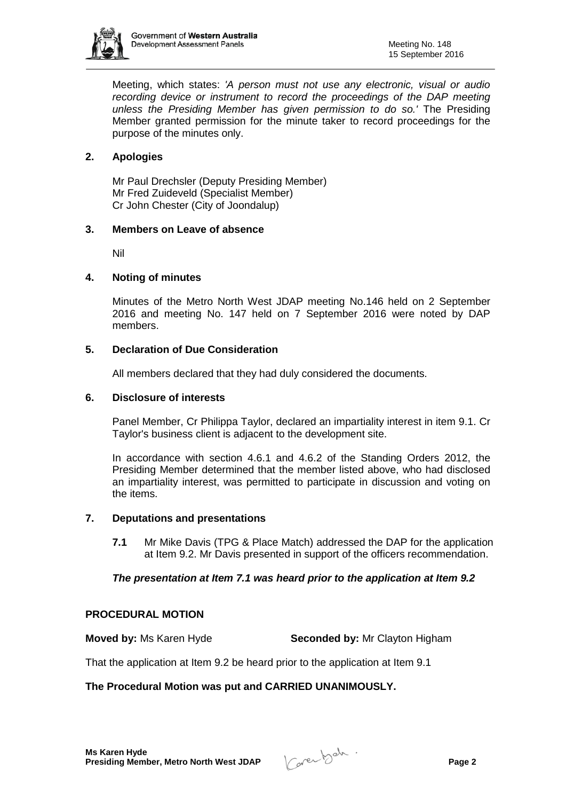

Meeting, which states: *'A person must not use any electronic, visual or audio recording device or instrument to record the proceedings of the DAP meeting unless the Presiding Member has given permission to do so.'* The Presiding Member granted permission for the minute taker to record proceedings for the purpose of the minutes only.

# **2. Apologies**

Mr Paul Drechsler (Deputy Presiding Member) Mr Fred Zuideveld (Specialist Member) Cr John Chester (City of Joondalup)

#### **3. Members on Leave of absence**

Nil

## **4. Noting of minutes**

Minutes of the Metro North West JDAP meeting No.146 held on 2 September 2016 and meeting No. 147 held on 7 September 2016 were noted by DAP members.

## **5. Declaration of Due Consideration**

All members declared that they had duly considered the documents.

#### **6. Disclosure of interests**

Panel Member, Cr Philippa Taylor, declared an impartiality interest in item 9.1. Cr Taylor's business client is adjacent to the development site.

In accordance with section 4.6.1 and 4.6.2 of the Standing Orders 2012, the Presiding Member determined that the member listed above, who had disclosed an impartiality interest, was permitted to participate in discussion and voting on the items.

## **7. Deputations and presentations**

**7.1** Mr Mike Davis (TPG & Place Match) addressed the DAP for the application at Item 9.2. Mr Davis presented in support of the officers recommendation.

#### *The presentation at Item 7.1 was heard prior to the application at Item 9.2*

#### **PROCEDURAL MOTION**

**Moved by:** Ms Karen Hyde **Seconded by:** Mr Clayton Higham

That the application at Item 9.2 be heard prior to the application at Item 9.1

#### **The Procedural Motion was put and CARRIED UNANIMOUSLY.**

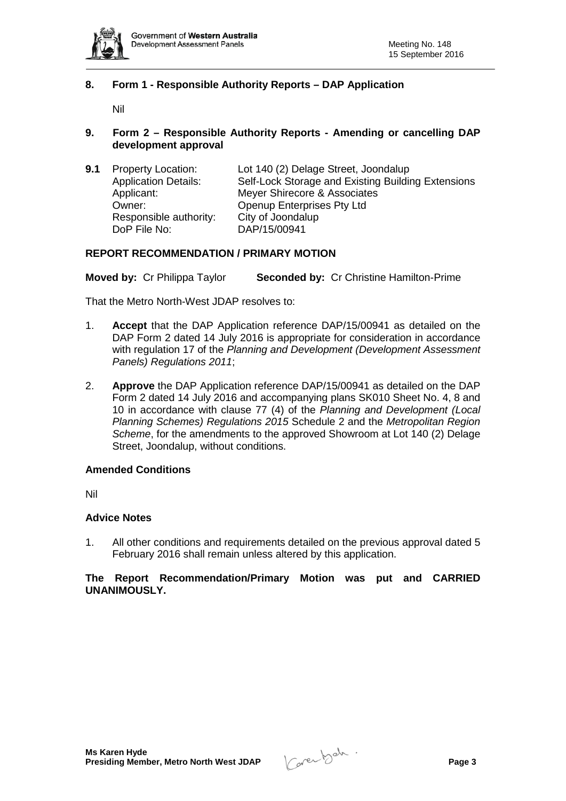

#### **8. Form 1 - Responsible Authority Reports – DAP Application**

Nil

#### **9. Form 2 – Responsible Authority Reports - Amending or cancelling DAP development approval**

| 9.1 | <b>Property Location:</b>   | Lot 140 (2) Delage Street, Joondalup               |
|-----|-----------------------------|----------------------------------------------------|
|     | <b>Application Details:</b> | Self-Lock Storage and Existing Building Extensions |
|     | Applicant:                  | Meyer Shirecore & Associates                       |
|     | Owner:                      | Openup Enterprises Pty Ltd                         |
|     | Responsible authority:      | City of Joondalup                                  |
|     | DoP File No:                | DAP/15/00941                                       |

#### **REPORT RECOMMENDATION / PRIMARY MOTION**

**Moved by:** Cr Philippa Taylor **Seconded by:** Cr Christine Hamilton-Prime

That the Metro North-West JDAP resolves to:

- 1. **Accept** that the DAP Application reference DAP/15/00941 as detailed on the DAP Form 2 dated 14 July 2016 is appropriate for consideration in accordance with regulation 17 of the *Planning and Development (Development Assessment Panels) Regulations 2011*;
- 2. **Approve** the DAP Application reference DAP/15/00941 as detailed on the DAP Form 2 dated 14 July 2016 and accompanying plans SK010 Sheet No. 4, 8 and 10 in accordance with clause 77 (4) of the *Planning and Development (Local Planning Schemes) Regulations 2015* Schedule 2 and the *Metropolitan Region Scheme*, for the amendments to the approved Showroom at Lot 140 (2) Delage Street, Joondalup, without conditions.

#### **Amended Conditions**

Nil

#### **Advice Notes**

1. All other conditions and requirements detailed on the previous approval dated 5 February 2016 shall remain unless altered by this application.

### **The Report Recommendation/Primary Motion was put and CARRIED UNANIMOUSLY.**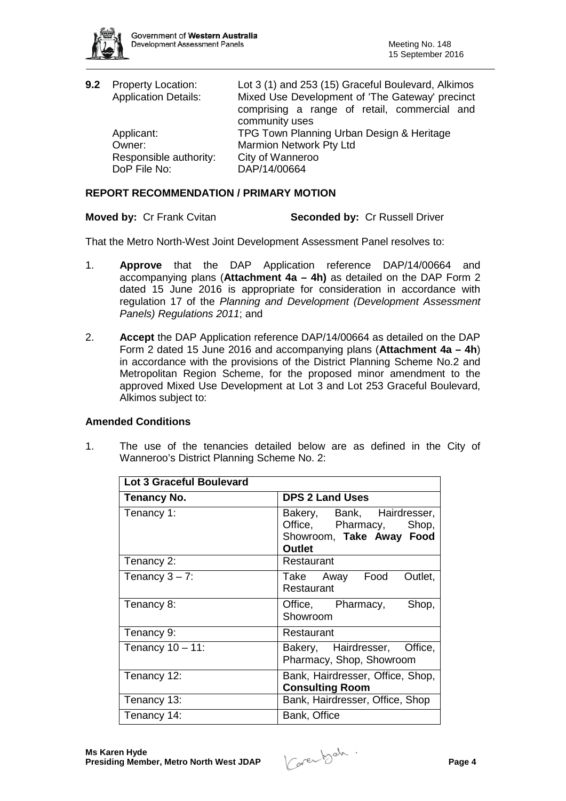

| 9.2 Property Location:<br><b>Application Details:</b> | Lot 3 (1) and 253 (15) Graceful Boulevard, Alkimos<br>Mixed Use Development of 'The Gateway' precinct<br>comprising a range of retail, commercial and |
|-------------------------------------------------------|-------------------------------------------------------------------------------------------------------------------------------------------------------|
|                                                       | community uses                                                                                                                                        |
| Applicant:                                            | TPG Town Planning Urban Design & Heritage                                                                                                             |
| Owner:                                                | Marmion Network Pty Ltd                                                                                                                               |
| Responsible authority:                                | City of Wanneroo                                                                                                                                      |
| DoP File No:                                          | DAP/14/00664                                                                                                                                          |
|                                                       |                                                                                                                                                       |

## **REPORT RECOMMENDATION / PRIMARY MOTION**

**Moved by: Cr Frank Cvitan <b>Seconded by: Cr Russell Driver** 

That the Metro North-West Joint Development Assessment Panel resolves to:

- 1. **Approve** that the DAP Application reference DAP/14/00664 and accompanying plans (**Attachment 4a – 4h)** as detailed on the DAP Form 2 dated 15 June 2016 is appropriate for consideration in accordance with regulation 17 of the *Planning and Development (Development Assessment Panels) Regulations 2011*; and
- 2. **Accept** the DAP Application reference DAP/14/00664 as detailed on the DAP Form 2 dated 15 June 2016 and accompanying plans (**Attachment 4a – 4h**) in accordance with the provisions of the District Planning Scheme No.2 and Metropolitan Region Scheme, for the proposed minor amendment to the approved Mixed Use Development at Lot 3 and Lot 253 Graceful Boulevard, Alkimos subject to:

## **Amended Conditions**

1. The use of the tenancies detailed below are as defined in the City of Wanneroo's District Planning Scheme No. 2:

| <b>Lot 3 Graceful Boulevard</b> |                                                                                                    |  |  |
|---------------------------------|----------------------------------------------------------------------------------------------------|--|--|
| Tenancy No.                     | <b>DPS 2 Land Uses</b>                                                                             |  |  |
| Tenancy 1:                      | Bakery, Bank, Hairdresser,<br>Office, Pharmacy, Shop,<br>Showroom, Take Away Food<br><b>Outlet</b> |  |  |
| Tenancy 2:                      | Restaurant                                                                                         |  |  |
| Tenancy $3 - 7$ :               | Take Away Food<br>Outlet,<br>Restaurant                                                            |  |  |
| Tenancy 8:                      | Office, Pharmacy,<br>Shop,<br>Showroom                                                             |  |  |
| Tenancy 9:                      | Restaurant                                                                                         |  |  |
| Tenancy $10 - 11$ :             | Bakery, Hairdresser, Office,<br>Pharmacy, Shop, Showroom                                           |  |  |
| Tenancy 12:                     | Bank, Hairdresser, Office, Shop,<br><b>Consulting Room</b>                                         |  |  |
| Tenancy 13:                     | Bank, Hairdresser, Office, Shop                                                                    |  |  |
| Tenancy 14:                     | Bank, Office                                                                                       |  |  |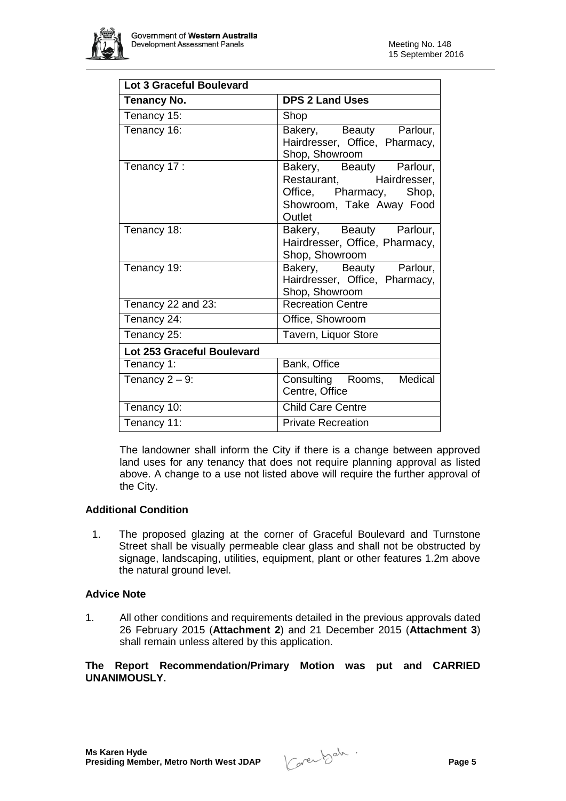

| <b>Lot 3 Graceful Boulevard</b> |                                                                                                                      |  |  |
|---------------------------------|----------------------------------------------------------------------------------------------------------------------|--|--|
| <b>Tenancy No.</b>              | <b>DPS 2 Land Uses</b>                                                                                               |  |  |
| Tenancy 15:                     | Shop                                                                                                                 |  |  |
| Tenancy 16:                     | Bakery, Beauty Parlour,<br>Hairdresser, Office, Pharmacy,<br>Shop, Showroom                                          |  |  |
| Tenancy 17:                     | Bakery, Beauty Parlour,<br>Restaurant, Hairdresser,<br>Office, Pharmacy, Shop,<br>Showroom, Take Away Food<br>Outlet |  |  |
| Tenancy 18:                     | Bakery, Beauty Parlour,<br>Hairdresser, Office, Pharmacy,<br>Shop, Showroom                                          |  |  |
| Tenancy 19:                     | Bakery, Beauty Parlour,<br>Hairdresser, Office, Pharmacy,<br>Shop, Showroom                                          |  |  |
| Tenancy 22 and 23:              | <b>Recreation Centre</b>                                                                                             |  |  |
| Tenancy 24:                     | Office, Showroom                                                                                                     |  |  |
| Tenancy 25:                     | Tavern, Liquor Store                                                                                                 |  |  |
| Lot 253 Graceful Boulevard      |                                                                                                                      |  |  |
| Tenancy 1:                      | Bank, Office                                                                                                         |  |  |
| Tenancy $2 - 9$ :               | Consulting Rooms, Medical<br>Centre, Office                                                                          |  |  |
| Tenancy 10:                     | <b>Child Care Centre</b>                                                                                             |  |  |
| Tenancy 11:                     | <b>Private Recreation</b>                                                                                            |  |  |

The landowner shall inform the City if there is a change between approved land uses for any tenancy that does not require planning approval as listed above. A change to a use not listed above will require the further approval of the City.

#### **Additional Condition**

1. The proposed glazing at the corner of Graceful Boulevard and Turnstone Street shall be visually permeable clear glass and shall not be obstructed by signage, landscaping, utilities, equipment, plant or other features 1.2m above the natural ground level.

## **Advice Note**

1. All other conditions and requirements detailed in the previous approvals dated 26 February 2015 (**Attachment 2**) and 21 December 2015 (**Attachment 3**) shall remain unless altered by this application.

**The Report Recommendation/Primary Motion was put and CARRIED UNANIMOUSLY.**